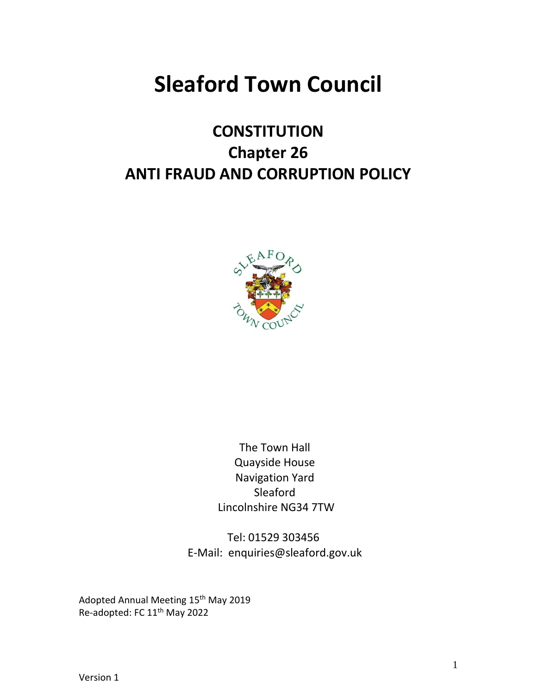# **Sleaford Town Council**

# **CONSTITUTION Chapter 26 ANTI FRAUD AND CORRUPTION POLICY**



The Town Hall Quayside House Navigation Yard Sleaford Lincolnshire NG34 7TW

Tel: 01529 303456 E-Mail: enquiries@sleaford.gov.uk

Adopted Annual Meeting 15<sup>th</sup> May 2019 Re-adopted: FC 11th May 2022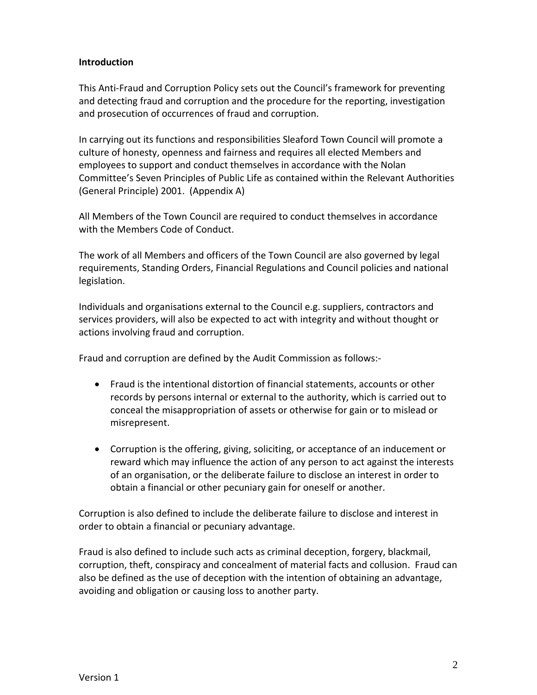# **Introduction**

This Anti-Fraud and Corruption Policy sets out the Council's framework for preventing and detecting fraud and corruption and the procedure for the reporting, investigation and prosecution of occurrences of fraud and corruption.

In carrying out its functions and responsibilities Sleaford Town Council will promote a culture of honesty, openness and fairness and requires all elected Members and employees to support and conduct themselves in accordance with the Nolan Committee's Seven Principles of Public Life as contained within the Relevant Authorities (General Principle) 2001. (Appendix A)

All Members of the Town Council are required to conduct themselves in accordance with the Members Code of Conduct.

The work of all Members and officers of the Town Council are also governed by legal requirements, Standing Orders, Financial Regulations and Council policies and national legislation.

Individuals and organisations external to the Council e.g. suppliers, contractors and services providers, will also be expected to act with integrity and without thought or actions involving fraud and corruption.

Fraud and corruption are defined by the Audit Commission as follows:-

- Fraud is the intentional distortion of financial statements, accounts or other records by persons internal or external to the authority, which is carried out to conceal the misappropriation of assets or otherwise for gain or to mislead or misrepresent.
- Corruption is the offering, giving, soliciting, or acceptance of an inducement or reward which may influence the action of any person to act against the interests of an organisation, or the deliberate failure to disclose an interest in order to obtain a financial or other pecuniary gain for oneself or another.

Corruption is also defined to include the deliberate failure to disclose and interest in order to obtain a financial or pecuniary advantage.

Fraud is also defined to include such acts as criminal deception, forgery, blackmail, corruption, theft, conspiracy and concealment of material facts and collusion. Fraud can also be defined as the use of deception with the intention of obtaining an advantage, avoiding and obligation or causing loss to another party.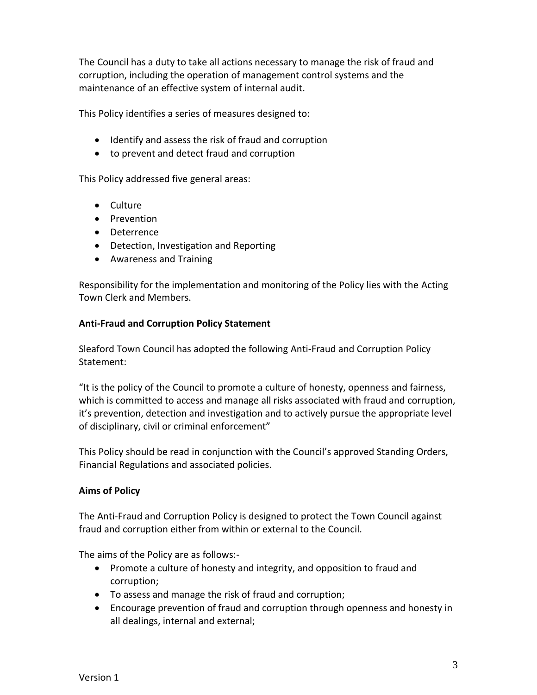The Council has a duty to take all actions necessary to manage the risk of fraud and corruption, including the operation of management control systems and the maintenance of an effective system of internal audit.

This Policy identifies a series of measures designed to:

- Identify and assess the risk of fraud and corruption
- to prevent and detect fraud and corruption

This Policy addressed five general areas:

- Culture
- Prevention
- Deterrence
- Detection, Investigation and Reporting
- Awareness and Training

Responsibility for the implementation and monitoring of the Policy lies with the Acting Town Clerk and Members.

# **Anti-Fraud and Corruption Policy Statement**

Sleaford Town Council has adopted the following Anti-Fraud and Corruption Policy Statement:

"It is the policy of the Council to promote a culture of honesty, openness and fairness, which is committed to access and manage all risks associated with fraud and corruption, it's prevention, detection and investigation and to actively pursue the appropriate level of disciplinary, civil or criminal enforcement"

This Policy should be read in conjunction with the Council's approved Standing Orders, Financial Regulations and associated policies.

# **Aims of Policy**

The Anti-Fraud and Corruption Policy is designed to protect the Town Council against fraud and corruption either from within or external to the Council.

The aims of the Policy are as follows:-

- Promote a culture of honesty and integrity, and opposition to fraud and corruption;
- To assess and manage the risk of fraud and corruption;
- Encourage prevention of fraud and corruption through openness and honesty in all dealings, internal and external;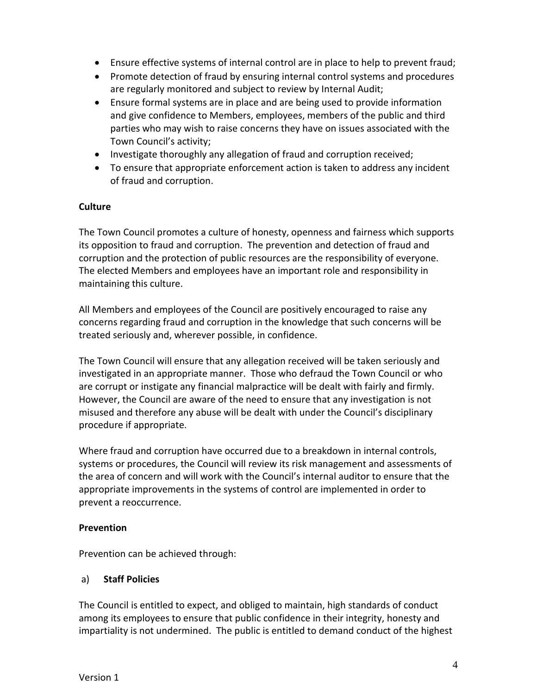- Ensure effective systems of internal control are in place to help to prevent fraud;
- Promote detection of fraud by ensuring internal control systems and procedures are regularly monitored and subject to review by Internal Audit;
- Ensure formal systems are in place and are being used to provide information and give confidence to Members, employees, members of the public and third parties who may wish to raise concerns they have on issues associated with the Town Council's activity;
- Investigate thoroughly any allegation of fraud and corruption received;
- To ensure that appropriate enforcement action is taken to address any incident of fraud and corruption.

# **Culture**

The Town Council promotes a culture of honesty, openness and fairness which supports its opposition to fraud and corruption. The prevention and detection of fraud and corruption and the protection of public resources are the responsibility of everyone. The elected Members and employees have an important role and responsibility in maintaining this culture.

All Members and employees of the Council are positively encouraged to raise any concerns regarding fraud and corruption in the knowledge that such concerns will be treated seriously and, wherever possible, in confidence.

The Town Council will ensure that any allegation received will be taken seriously and investigated in an appropriate manner. Those who defraud the Town Council or who are corrupt or instigate any financial malpractice will be dealt with fairly and firmly. However, the Council are aware of the need to ensure that any investigation is not misused and therefore any abuse will be dealt with under the Council's disciplinary procedure if appropriate.

Where fraud and corruption have occurred due to a breakdown in internal controls, systems or procedures, the Council will review its risk management and assessments of the area of concern and will work with the Council's internal auditor to ensure that the appropriate improvements in the systems of control are implemented in order to prevent a reoccurrence.

# **Prevention**

Prevention can be achieved through:

# a) **Staff Policies**

The Council is entitled to expect, and obliged to maintain, high standards of conduct among its employees to ensure that public confidence in their integrity, honesty and impartiality is not undermined. The public is entitled to demand conduct of the highest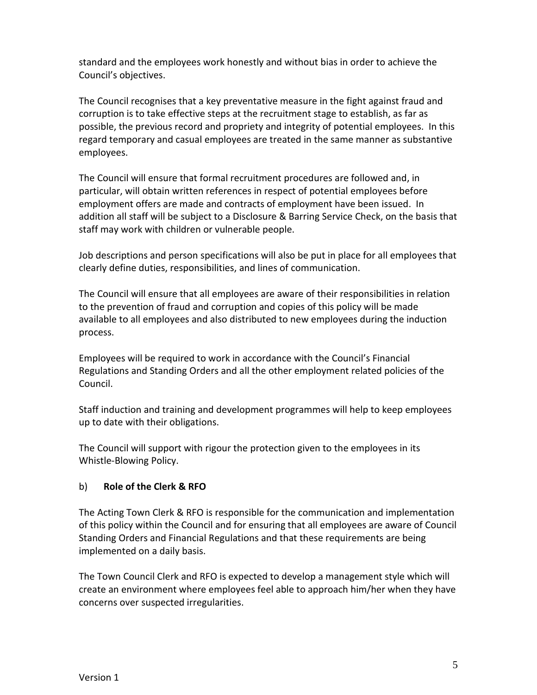standard and the employees work honestly and without bias in order to achieve the Council's objectives.

The Council recognises that a key preventative measure in the fight against fraud and corruption is to take effective steps at the recruitment stage to establish, as far as possible, the previous record and propriety and integrity of potential employees. In this regard temporary and casual employees are treated in the same manner as substantive employees.

The Council will ensure that formal recruitment procedures are followed and, in particular, will obtain written references in respect of potential employees before employment offers are made and contracts of employment have been issued. In addition all staff will be subject to a Disclosure & Barring Service Check, on the basis that staff may work with children or vulnerable people.

Job descriptions and person specifications will also be put in place for all employees that clearly define duties, responsibilities, and lines of communication.

The Council will ensure that all employees are aware of their responsibilities in relation to the prevention of fraud and corruption and copies of this policy will be made available to all employees and also distributed to new employees during the induction process.

Employees will be required to work in accordance with the Council's Financial Regulations and Standing Orders and all the other employment related policies of the Council.

Staff induction and training and development programmes will help to keep employees up to date with their obligations.

The Council will support with rigour the protection given to the employees in its Whistle-Blowing Policy.

# b) **Role of the Clerk & RFO**

The Acting Town Clerk & RFO is responsible for the communication and implementation of this policy within the Council and for ensuring that all employees are aware of Council Standing Orders and Financial Regulations and that these requirements are being implemented on a daily basis.

The Town Council Clerk and RFO is expected to develop a management style which will create an environment where employees feel able to approach him/her when they have concerns over suspected irregularities.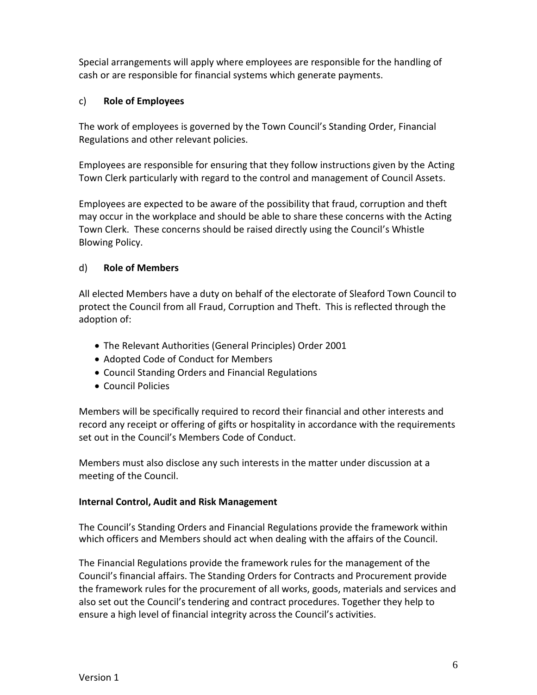Special arrangements will apply where employees are responsible for the handling of cash or are responsible for financial systems which generate payments.

# c) **Role of Employees**

The work of employees is governed by the Town Council's Standing Order, Financial Regulations and other relevant policies.

Employees are responsible for ensuring that they follow instructions given by the Acting Town Clerk particularly with regard to the control and management of Council Assets.

Employees are expected to be aware of the possibility that fraud, corruption and theft may occur in the workplace and should be able to share these concerns with the Acting Town Clerk. These concerns should be raised directly using the Council's Whistle Blowing Policy.

# d) **Role of Members**

All elected Members have a duty on behalf of the electorate of Sleaford Town Council to protect the Council from all Fraud, Corruption and Theft. This is reflected through the adoption of:

- The Relevant Authorities (General Principles) Order 2001
- Adopted Code of Conduct for Members
- Council Standing Orders and Financial Regulations
- Council Policies

Members will be specifically required to record their financial and other interests and record any receipt or offering of gifts or hospitality in accordance with the requirements set out in the Council's Members Code of Conduct.

Members must also disclose any such interests in the matter under discussion at a meeting of the Council.

# **Internal Control, Audit and Risk Management**

The Council's Standing Orders and Financial Regulations provide the framework within which officers and Members should act when dealing with the affairs of the Council.

The Financial Regulations provide the framework rules for the management of the Council's financial affairs. The Standing Orders for Contracts and Procurement provide the framework rules for the procurement of all works, goods, materials and services and also set out the Council's tendering and contract procedures. Together they help to ensure a high level of financial integrity across the Council's activities.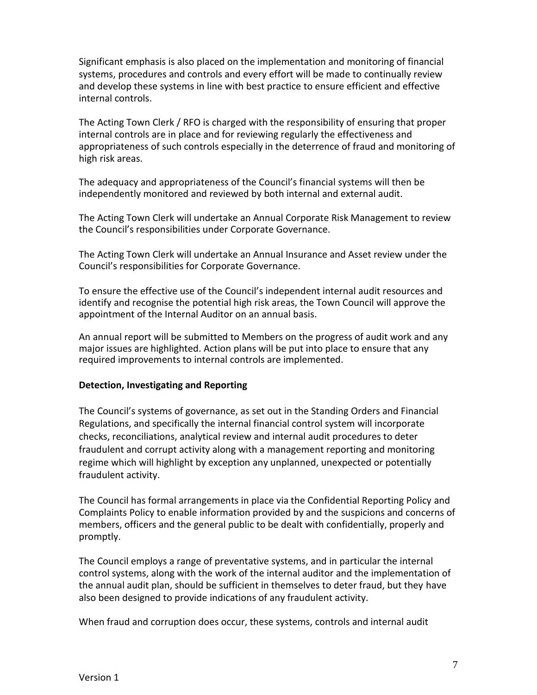Significant emphasis is also placed on the implementation and monitoring of financial systems, procedures and controls and every effort will be made to continually review and develop these systems in line with best practice to ensure efficient and effective internal controls.

The Acting Town Clerk / RFO is charged with the responsibility of ensuring that proper internal controls are in place and for reviewing regularly the effectiveness and appropriateness of such controls especially in the deterrence of fraud and monitoring of high risk areas.

The adequacy and appropriateness of the Council's financial systems will then be independently monitored and reviewed by both internal and external audit.

The Acting Town Clerk will undertake an Annual Corporate Risk Management to review the Council's responsibilities under Corporate Governance.

The Acting Town Clerk will undertake an Annual Insurance and Asset review under the Council's responsibilities for Corporate Governance.

To ensure the effective use of the Council's independent internal audit resources and identify and recognise the potential high risk areas, the Town Council will approve the appointment of the Internal Auditor on an annual basis.

An annual report will be submitted to Members on the progress of audit work and any major issues are highlighted. Action plans will be put into place to ensure that any required improvements to internal controls are implemented.

#### **Detection, Investigating and Reporting**

The Council's systems of governance, as set out in the Standing Orders and Financial Regulations, and specifically the internal financial control system will incorporate checks, reconciliations, analytical review and internal audit procedures to deter fraudulent and corrupt activity along with a management reporting and monitoring regime which will highlight by exception any unplanned, unexpected or potentially fraudulent activity.

The Council has formal arrangements in place via the Confidential Reporting Policy and Complaints Policy to enable information provided by and the suspicions and concerns of members, officers and the general public to be dealt with confidentially, properly and promptly.

The Council employs a range of preventative systems, and in particular the internal control systems, along with the work of the internal auditor and the implementation of the annual audit plan, should be sufficient in themselves to deter fraud, but they have also been designed to provide indications of any fraudulent activity.

When fraud and corruption does occur, these systems, controls and internal audit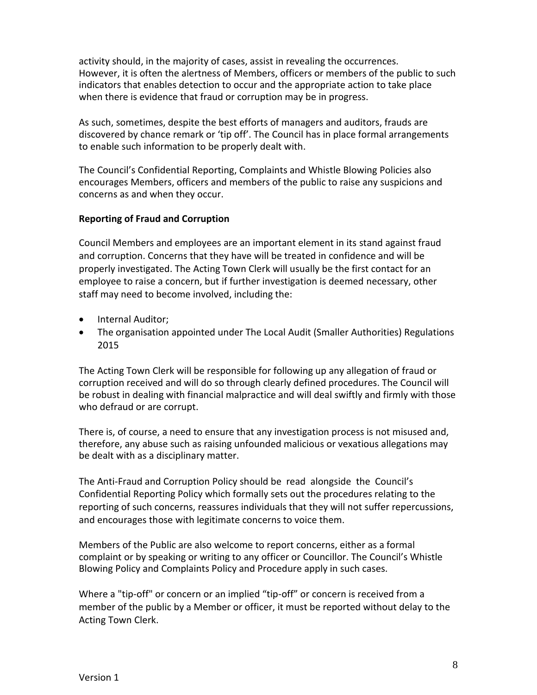activity should, in the majority of cases, assist in revealing the occurrences. However, it is often the alertness of Members, officers or members of the public to such indicators that enables detection to occur and the appropriate action to take place when there is evidence that fraud or corruption may be in progress.

As such, sometimes, despite the best efforts of managers and auditors, frauds are discovered by chance remark or 'tip off'. The Council has in place formal arrangements to enable such information to be properly dealt with.

The Council's Confidential Reporting, Complaints and Whistle Blowing Policies also encourages Members, officers and members of the public to raise any suspicions and concerns as and when they occur.

## **Reporting of Fraud and Corruption**

Council Members and employees are an important element in its stand against fraud and corruption. Concerns that they have will be treated in confidence and will be properly investigated. The Acting Town Clerk will usually be the first contact for an employee to raise a concern, but if further investigation is deemed necessary, other staff may need to become involved, including the:

- Internal Auditor;
- The organisation appointed under The Local Audit (Smaller Authorities) Regulations 2015

The Acting Town Clerk will be responsible for following up any allegation of fraud or corruption received and will do so through clearly defined procedures. The Council will be robust in dealing with financial malpractice and will deal swiftly and firmly with those who defraud or are corrupt.

There is, of course, a need to ensure that any investigation process is not misused and, therefore, any abuse such as raising unfounded malicious or vexatious allegations may be dealt with as a disciplinary matter.

The Anti-Fraud and Corruption Policy should be read alongside the Council's Confidential Reporting Policy which formally sets out the procedures relating to the reporting of such concerns, reassures individuals that they will not suffer repercussions, and encourages those with legitimate concerns to voice them.

Members of the Public are also welcome to report concerns, either as a formal complaint or by speaking or writing to any officer or Councillor. The Council's Whistle Blowing Policy and Complaints Policy and Procedure apply in such cases.

Where a "tip-off" or concern or an implied "tip-off" or concern is received from a member of the public by a Member or officer, it must be reported without delay to the Acting Town Clerk.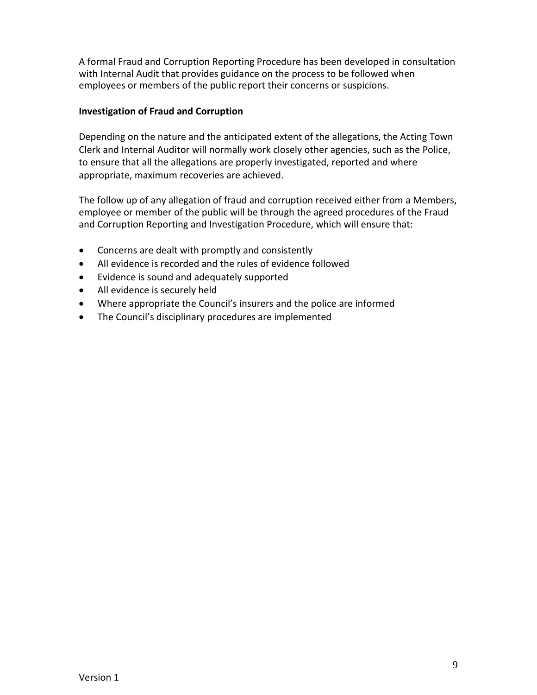A formal Fraud and Corruption Reporting Procedure has been developed in consultation with Internal Audit that provides guidance on the process to be followed when employees or members of the public report their concerns or suspicions.

# **Investigation of Fraud and Corruption**

Depending on the nature and the anticipated extent of the allegations, the Acting Town Clerk and Internal Auditor will normally work closely other agencies, such as the Police, to ensure that all the allegations are properly investigated, reported and where appropriate, maximum recoveries are achieved.

The follow up of any allegation of fraud and corruption received either from a Members, employee or member of the public will be through the agreed procedures of the Fraud and Corruption Reporting and Investigation Procedure, which will ensure that:

- Concerns are dealt with promptly and consistently
- All evidence is recorded and the rules of evidence followed
- Evidence is sound and adequately supported
- All evidence is securely held
- Where appropriate the Council's insurers and the police are informed
- The Council's disciplinary procedures are implemented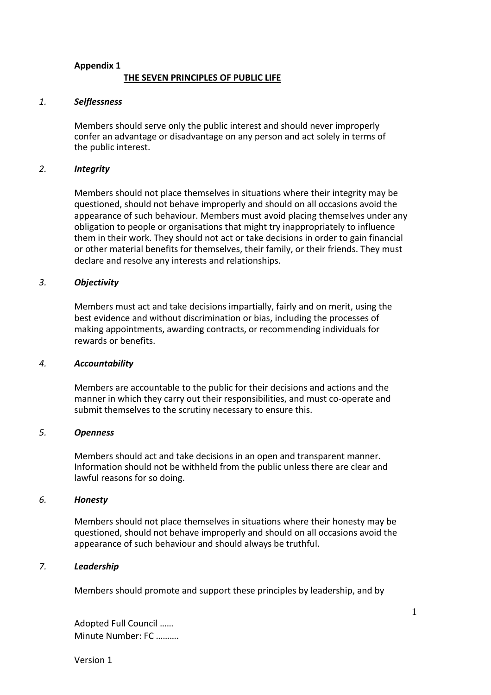# **Appendix 1 THE SEVEN PRINCIPLES OF PUBLIC LIFE**

#### *1. Selflessness*

Members should serve only the public interest and should never improperly confer an advantage or disadvantage on any person and act solely in terms of the public interest.

#### *2. Integrity*

Members should not place themselves in situations where their integrity may be questioned, should not behave improperly and should on all occasions avoid the appearance of such behaviour. Members must avoid placing themselves under any obligation to people or organisations that might try inappropriately to influence them in their work. They should not act or take decisions in order to gain financial or other material benefits for themselves, their family, or their friends. They must declare and resolve any interests and relationships.

#### *3. Objectivity*

Members must act and take decisions impartially, fairly and on merit, using the best evidence and without discrimination or bias, including the processes of making appointments, awarding contracts, or recommending individuals for rewards or benefits.

#### *4. Accountability*

Members are accountable to the public for their decisions and actions and the manner in which they carry out their responsibilities, and must co-operate and submit themselves to the scrutiny necessary to ensure this.

#### *5. Openness*

Members should act and take decisions in an open and transparent manner. Information should not be withheld from the public unless there are clear and lawful reasons for so doing.

#### *6. Honesty*

Members should not place themselves in situations where their honesty may be questioned, should not behave improperly and should on all occasions avoid the appearance of such behaviour and should always be truthful.

#### *7. Leadership*

Members should promote and support these principles by leadership, and by

Adopted Full Council …… Minute Number: FC ……….

Version 1